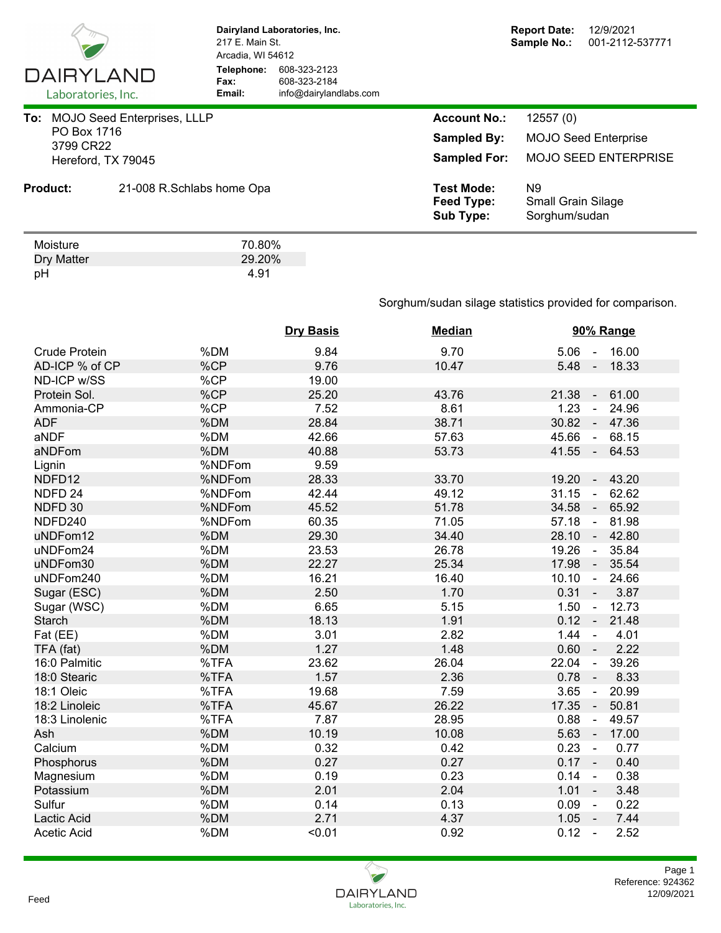

Dry Matter 29.20%<br>pH 4.91 pH 4.91

**Dairyland Laboratories, Inc.** 217 E. Main St. Arcadia, WI 54612 **Telephone:** 608-323-2123 **Fax:** 608-323-2184<br> **Email:** info@dairyland **Email:** info@dairylandlabs.com

|                          | To: MOJO Seed Enterprises, LLLP | <b>Account No.:</b>                                 | 12557(0)                                                     |
|--------------------------|---------------------------------|-----------------------------------------------------|--------------------------------------------------------------|
| PO Box 1716<br>3799 CR22 |                                 | <b>Sampled By:</b>                                  | <b>MOJO Seed Enterprise</b>                                  |
|                          | Hereford, TX 79045              | <b>Sampled For:</b>                                 | <b>MOJO SEED ENTERPRISE</b>                                  |
| <b>Product:</b>          | 21-008 R.Schlabs home Opa       | <b>Test Mode:</b><br>Feed Type:<br><b>Sub Type:</b> | N <sub>9</sub><br><b>Small Grain Silage</b><br>Sorghum/sudan |
| Moisture                 | 70.80%                          |                                                     |                                                              |

Sorghum/sudan silage statistics provided for comparison.

|                      |        | <b>Dry Basis</b> | <b>Median</b> | 90% Range                                 |
|----------------------|--------|------------------|---------------|-------------------------------------------|
| <b>Crude Protein</b> | %DM    | 9.84             | 9.70          | $5.06 - 16.00$                            |
| AD-ICP % of CP       | %CP    | 9.76             | 10.47         | 5.48<br>18.33<br>$\sim$ $\sim$            |
| ND-ICP w/SS          | %CP    | 19.00            |               |                                           |
| Protein Sol.         | %CP    | 25.20            | 43.76         | 21.38<br>61.00<br>$\sim$                  |
| Ammonia-CP           | %CP    | 7.52             | 8.61          | 1.23<br>24.96<br>$\sim$                   |
| <b>ADF</b>           | %DM    | 28.84            | 38.71         | 30.82<br>47.36<br>$\blacksquare$          |
| aNDF                 | %DM    | 42.66            | 57.63         | 45.66<br>68.15<br>$\sim$                  |
| aNDFom               | %DM    | 40.88            | 53.73         | $41.55 -$<br>64.53                        |
| Lignin               | %NDFom | 9.59             |               |                                           |
| NDFD12               | %NDFom | 28.33            | 33.70         | 19.20<br>43.20<br>$\sim$                  |
| NDFD <sub>24</sub>   | %NDFom | 42.44            | 49.12         | 31.15<br>62.62<br>$\blacksquare$          |
| NDFD 30              | %NDFom | 45.52            | 51.78         | 34.58<br>65.92<br>♦                       |
| NDFD240              | %NDFom | 60.35            | 71.05         | 57.18<br>81.98<br>$\blacksquare$          |
| uNDFom12             | %DM    | 29.30            | 34.40         | 28.10<br>42.80<br>$\sim$                  |
| uNDFom24             | %DM    | 23.53            | 26.78         | 19.26<br>35.84<br>$\sim$                  |
| uNDFom30             | %DM    | 22.27            | 25.34         | 17.98<br>35.54<br>$\sim$                  |
| uNDFom240            | %DM    | 16.21            | 16.40         | 10.10<br>24.66<br>$\sim$                  |
| Sugar (ESC)          | %DM    | 2.50             | 1.70          | $0.31 -$<br>3.87                          |
| Sugar (WSC)          | %DM    | 6.65             | 5.15          | 1.50<br>12.73<br>$\overline{\phantom{a}}$ |
| <b>Starch</b>        | %DM    | 18.13            | 1.91          | $0.12 -$<br>21.48                         |
| Fat (EE)             | %DM    | 3.01             | 2.82          | 1.44<br>4.01<br>$\sim$                    |
| TFA (fat)            | %DM    | 1.27             | 1.48          | 0.60<br>2.22<br>$\sim$                    |
| 16:0 Palmitic        | %TFA   | 23.62            | 26.04         | 22.04<br>39.26<br>$\blacksquare$          |
| 18:0 Stearic         | %TFA   | 1.57             | 2.36          | 0.78<br>8.33<br>$\sim$                    |
| 18:1 Oleic           | %TFA   | 19.68            | 7.59          | 3.65<br>20.99<br>$\blacksquare$           |
| 18:2 Linoleic        | %TFA   | 45.67            | 26.22         | 17.35<br>50.81<br>$\sim$                  |
| 18:3 Linolenic       | %TFA   | 7.87             | 28.95         | 0.88<br>49.57<br>$\blacksquare$           |
| Ash                  | %DM    | 10.19            | 10.08         | 5.63<br>17.00<br>$\sim$                   |
| Calcium              | %DM    | 0.32             | 0.42          | 0.23<br>0.77<br>$\sim$                    |
| Phosphorus           | %DM    | 0.27             | 0.27          | $0.17 -$<br>0.40                          |
| Magnesium            | %DM    | 0.19             | 0.23          | 0.14<br>0.38<br>$\sim$                    |
| Potassium            | %DM    | 2.01             | 2.04          | 1.01<br>3.48<br>$\sim$                    |
| Sulfur               | %DM    | 0.14             | 0.13          | 0.09<br>0.22<br>$\sim$                    |
| Lactic Acid          | %DM    | 2.71             | 4.37          | $1.05 -$<br>7.44                          |
| <b>Acetic Acid</b>   | %DM    | < 0.01           | 0.92          | 0.12<br>2.52<br>$\sim$                    |